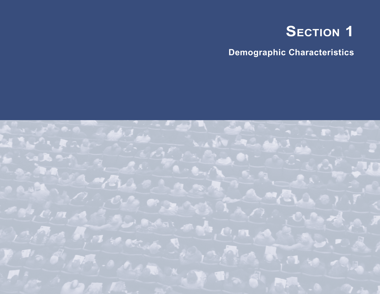

**Demographic Characteristics**

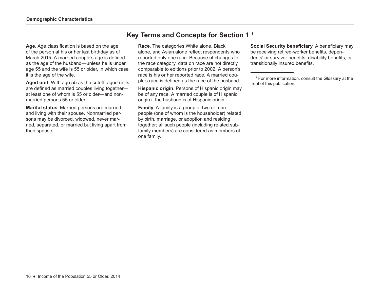**Age**. Age classification is based on the age of the person at his or her last birthday as of March 2015. A married couple's age is defined as the age of the husband—unless he is under age 55 and the wife is 55 or older, in which case it is the age of the wife.

**Aged unit**. With age 55 as the cutoff, aged units are defined as married couples living together at least one of whom is 55 or older—and nonmarried persons 55 or older.

**Marital status**. Married persons are married and living with their spouse. Nonmarried persons may be divorced, widowed, never married, separated, or married but living apart from their spouse.

# **Key Terms and Concepts for Section 1 1**

**Race**. The categories White alone, Black alone, and Asian alone reflect respondents who reported only one race. Because of changes to the race category, data on race are not directly comparable to editions prior to 2002. A person's race is his or her reported race. A married couple's race is defined as the race of the husband.

**Hispanic origin**. Persons of Hispanic origin may be of any race. A married couple is of Hispanic origin if the husband is of Hispanic origin.

**Family**. A family is a group of two or more people (one of whom is the householder) related by birth, marriage, or adoption and residing together; all such people (including related subfamily members) are considered as members of one family.

**Social Security beneficiary**. A beneficiary may be receiving retired-worker benefits, dependents' or survivor benefits, disability benefits, or transitionally insured benefits.

1 For more information, consult the Glossary at the front of this publication.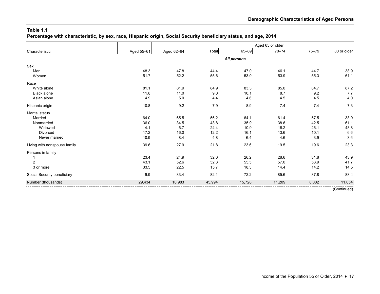**Percentage with characteristic, by sex, race, Hispanic origin, Social Security beneficiary status, and age, 2014**

|                              |            |            |        |             | Aged 65 or older |           |             |
|------------------------------|------------|------------|--------|-------------|------------------|-----------|-------------|
| Characteristic               | Aged 55-61 | Aged 62-64 | Total  | 65-69       | $70 - 74$        | $75 - 79$ | 80 or older |
|                              |            |            |        | All persons |                  |           |             |
| Sex                          |            |            |        |             |                  |           |             |
| Men                          | 48.3       | 47.8       | 44.4   | 47.0        | 46.1             | 44.7      | 38.9        |
| Women                        | 51.7       | 52.2       | 55.6   | 53.0        | 53.9             | 55.3      | 61.1        |
| Race                         |            |            |        |             |                  |           |             |
| White alone                  | 81.1       | 81.9       | 84.9   | 83.3        | 85.0             | 84.7      | 87.2        |
| <b>Black alone</b>           | 11.8       | 11.0       | 9.0    | 10.1        | 8.7              | 9.2       | 7.7         |
| Asian alone                  | 4.9        | 5.0        | 4.4    | 4.6         | 4.5              | 4.5       | 4.0         |
| Hispanic origin              | 10.8       | 9.2        | 7.9    | 8.9         | 7.4              | 7.4       | 7.3         |
| Marital status               |            |            |        |             |                  |           |             |
| Married                      | 64.0       | 65.5       | 56.2   | 64.1        | 61.4             | 57.5      | 38.9        |
| Nonmarried                   | 36.0       | 34.5       | 43.8   | 35.9        | 38.6             | 42.5      | 61.1        |
| Widowed                      | 4.1        | 6.7        | 24.4   | 10.9        | 18.2             | 26.1      | 48.8        |
| Divorced                     | 17.2       | 16.0       | 12.2   | 16.1        | 13.6             | 10.1      | 6.6         |
| Never married                | 10.9       | 8.4        | 4.8    | 6.4         | 4.6              | 3.9       | 3.6         |
| Living with nonspouse family | 39.6       | 27.9       | 21.8   | 23.6        | 19.5             | 19.6      | 23.3        |
| Persons in family            |            |            |        |             |                  |           |             |
|                              | 23.4       | 24.9       | 32.0   | 26.2        | 28.6             | 31.8      | 43.9        |
| $\overline{2}$               | 43.1       | 52.6       | 52.3   | 55.5        | 57.0             | 53.9      | 41.7        |
| 3 or more                    | 33.5       | 22.5       | 15.7   | 18.3        | 14.4             | 14.2      | 14.5        |
| Social Security beneficiary  | 9.9        | 33.4       | 82.1   | 72.2        | 85.6             | 87.8      | 88.4        |
| Number (thousands)           | 29,434     | 10,983     | 45,994 | 15,728      | 11,209           | 8,002     | 11,054      |
|                              |            |            |        |             |                  |           | (Continued) |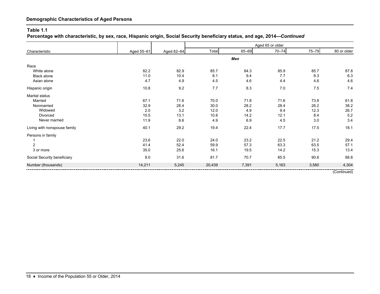#### **Table 1.1**

**Percentage with characteristic, by sex, race, Hispanic origin, Social Security beneficiary status, and age, 2014—***Continued*

|                              |            |            |        |       | Aged 65 or older |           |             |
|------------------------------|------------|------------|--------|-------|------------------|-----------|-------------|
| Characteristic               | Aged 55-61 | Aged 62-64 | Total  | 65-69 | $70 - 74$        | $75 - 79$ | 80 or older |
|                              |            |            |        | Men   |                  |           |             |
| Race                         |            |            |        |       |                  |           |             |
| White alone                  | 82.2       | 82.9       | 85.7   | 84.3  | 85.9             | 85.7      | 87.8        |
| <b>Black alone</b>           | 11.0       | 10.4       | 8.1    | 9.4   | 7.7              | 8.3       | 6.3         |
| Asian alone                  | 4.7        | 4.9        | 4.5    | 4.6   | 4.4              | 4.6       | 4.6         |
| Hispanic origin              | 10.8       | 9.2        | 7.7    | 8.3   | 7.0              | 7.5       | 7.4         |
| Marital status               |            |            |        |       |                  |           |             |
| Married                      | 67.1       | 71.6       | 70.0   | 71.8  | 71.6             | 73.8      | 61.8        |
| Nonmarried                   | 32.9       | 28.4       | 30.0   | 28.2  | 28.4             | 26.2      | 38.2        |
| Widowed                      | 2.0        | 3.2        | 12.0   | 4.9   | 9.4              | 12.3      | 26.7        |
| <b>Divorced</b>              | 15.5       | 13.1       | 10.8   | 14.2  | 12.1             | 8.4       | 5.2         |
| Never married                | 11.9       | 8.6        | 4.9    | 6.9   | 4.5              | 3.0       | 3.4         |
| Living with nonspouse family | 40.1       | 29.2       | 19.4   | 22.4  | 17.7             | 17.5      | 18.1        |
| Persons in family            |            |            |        |       |                  |           |             |
|                              | 23.6       | 22.0       | 24.0   | 23.2  | 22.5             | 21.2      | 29.4        |
| $\overline{2}$               | 41.4       | 52.4       | 59.9   | 57.3  | 63.3             | 63.5      | 57.1        |
| 3 or more                    | 35.0       | 25.6       | 16.1   | 19.5  | 14.2             | 15.3      | 13.4        |
| Social Security beneficiary  | 9.0        | 31.6       | 81.7   | 70.7  | 85.5             | 90.6      | 88.8        |
| Number (thousands)           | 14,211     | 5,245      | 20,439 | 7,391 | 5,163            | 3,580     | 4,304       |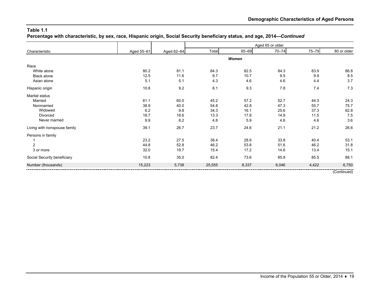**Percentage with characteristic, by sex, race, Hispanic origin, Social Security beneficiary status, and age, 2014—***Continued*

|                              |            |            |        |       | Aged 65 or older |       |             |
|------------------------------|------------|------------|--------|-------|------------------|-------|-------------|
| Characteristic               | Aged 55-61 | Aged 62-64 | Total  | 65-69 | $70 - 74$        | 75-79 | 80 or older |
|                              |            |            |        | Women |                  |       |             |
| Race                         |            |            |        |       |                  |       |             |
| White alone                  | 80.2       | 81.1       | 84.3   | 82.5  | 84.3             | 83.9  | 86.8        |
| Black alone                  | 12.5       | 11.6       | 9.7    | 10.7  | 9.5              | 9.9   | 8.5         |
| Asian alone                  | 5.1        | 5.1        | 4.3    | 4.6   | 4.6              | 4.4   | 3.7         |
| Hispanic origin              | 10.8       | 9.2        | 8.1    | 9.3   | 7.8              | 7.4   | 7.3         |
| Marital status               |            |            |        |       |                  |       |             |
| Married                      | 61.1       | 60.0       | 45.2   | 57.2  | 52.7             | 44.3  | 24.3        |
| Nonmarried                   | 38.9       | 40.0       | 54.8   | 42.8  | 47.3             | 55.7  | 75.7        |
| Widowed                      | 6.2        | 9.8        | 34.3   | 16.1  | 25.6             | 37.3  | 62.8        |
| Divorced                     | 18.7       | 18.6       | 13.3   | 17.8  | 14.9             | 11.5  | 7.5         |
| Never married                | 9.9        | 8.2        | 4.8    | 5.9   | 4.6              | 4.6   | 3.6         |
| Living with nonspouse family | 39.1       | 26.7       | 23.7   | 24.6  | 21.1             | 21.2  | 26.6        |
| Persons in family            |            |            |        |       |                  |       |             |
|                              | 23.2       | 27.5       | 38.4   | 28.9  | 33.8             | 40.4  | 53.1        |
| $\overline{2}$               | 44.8       | 52.8       | 46.2   | 53.8  | 51.6             | 46.2  | 31.8        |
| 3 or more                    | 32.0       | 19.7       | 15.4   | 17.2  | 14.6             | 13.4  | 15.1        |
| Social Security beneficiary  | 10.8       | 35.0       | 82.4   | 73.6  | 85.8             | 85.5  | 88.1        |
| Number (thousands)           | 15,223     | 5,738      | 25,555 | 8,337 | 6,046            | 4,422 | 6,750       |
|                              |            |            |        |       |                  |       | (0.001)     |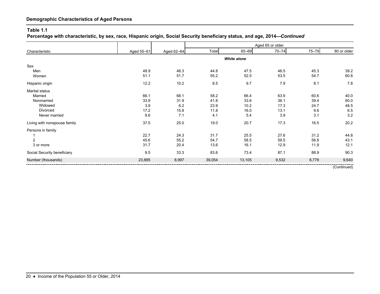#### **Table 1.1**

**Percentage with characteristic, by sex, race, Hispanic origin, Social Security beneficiary status, and age, 2014—***Continued*

|                              |            |            |        |                    | Aged 65 or older |       |             |
|------------------------------|------------|------------|--------|--------------------|------------------|-------|-------------|
| Characteristic               | Aged 55-61 | Aged 62-64 | Total  | 65-69              | $70 - 74$        | 75-79 | 80 or older |
|                              |            |            |        | <b>White alone</b> |                  |       |             |
| Sex                          |            |            |        |                    |                  |       |             |
| Men                          | 48.9       | 48.3       | 44.8   | 47.5               | 46.5             | 45.3  | 39.2        |
| Women                        | 51.1       | 51.7       | 55.2   | 52.5               | 53.5             | 54.7  | 60.8        |
| Hispanic origin              | 12.2       | 10.2       | 8.5    | 9.7                | 79               | 8.1   | 7.8         |
| Marital status               |            |            |        |                    |                  |       |             |
| Married                      | 66.1       | 68.1       | 58.2   | 66.4               | 63.9             | 60.6  | 40.0        |
| Nonmarried                   | 33.9       | 31.9       | 41.8   | 33.6               | 36.1             | 39.4  | 60.0        |
| Widowed                      | 3.9        | 6.2        | 23.9   | 10.2               | 17.3             | 24.7  | 48.5        |
| Divorced                     | 17.2       | 15.8       | 11.8   | 16.0               | 13.1             | 9.6   | 6.5         |
| Never married                | 9.6        | 7.1        | 4.1    | 5.4                | 3.9              | 3.1   | 3.2         |
| Living with nonspouse family | 37.5       | 25.0       | 19.0   | 20.7               | 17.3             | 16.5  | 20.2        |
| Persons in family            |            |            |        |                    |                  |       |             |
|                              | 22.7       | 24.3       | 31.7   | 25.5               | 27.6             | 31.2  | 44.8        |
| $\overline{2}$               | 45.6       | 55.2       | 54.7   | 58.5               | 59.5             | 56.8  | 43.1        |
| 3 or more                    | 31.7       | 20.4       | 13.6   | 16.1               | 12.9             | 11.9  | 12.1        |
| Social Security beneficiary  | 9.5        | 33.3       | 83.6   | 73.4               | 87.1             | 88.9  | 90.3        |
| Number (thousands)           | 23,885     | 8,997      | 39,054 | 13,105             | 9,532            | 6,778 | 9,640       |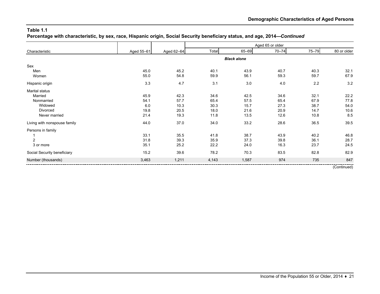**Percentage with characteristic, by sex, race, Hispanic origin, Social Security beneficiary status, and age, 2014—***Continued*

|                              |            |            |       |                    | Aged 65 or older |           |             |
|------------------------------|------------|------------|-------|--------------------|------------------|-----------|-------------|
| Characteristic               | Aged 55-61 | Aged 62-64 | Total | 65-69              | $70 - 74$        | $75 - 79$ | 80 or older |
|                              |            |            |       | <b>Black alone</b> |                  |           |             |
| Sex                          |            |            |       |                    |                  |           |             |
| Men                          | 45.0       | 45.2       | 40.1  | 43.9               | 40.7             | 40.3      | 32.1        |
| Women                        | 55.0       | 54.8       | 59.9  | 56.1               | 59.3             | 59.7      | 67.9        |
| Hispanic origin              | 3.3        | 4.7        | 3.1   | 3.0                | 4.0              | 2.2       | 3.2         |
| Marital status               |            |            |       |                    |                  |           |             |
| Married                      | 45.9       | 42.3       | 34.6  | 42.5               | 34.6             | 32.1      | 22.2        |
| Nonmarried                   | 54.1       | 57.7       | 65.4  | 57.5               | 65.4             | 67.9      | 77.8        |
| Widowed                      | 6.0        | 10.3       | 30.3  | 15.7               | 27.3             | 38.7      | 54.0        |
| Divorced                     | 19.8       | 20.5       | 18.0  | 21.6               | 20.9             | 14.7      | 10.6        |
| Never married                | 21.4       | 19.3       | 11.8  | 13.5               | 12.6             | 10.8      | 8.5         |
| Living with nonspouse family | 44.0       | 37.0       | 34.0  | 33.2               | 28.6             | 36.5      | 39.5        |
| Persons in family            |            |            |       |                    |                  |           |             |
|                              | 33.1       | 35.5       | 41.8  | 38.7               | 43.9             | 40.2      | 46.8        |
| $\overline{c}$               | 31.8       | 39.3       | 35.9  | 37.3               | 39.8             | 36.1      | 28.7        |
| 3 or more                    | 35.1       | 25.2       | 22.2  | 24.0               | 16.3             | 23.7      | 24.5        |
| Social Security beneficiary  | 15.2       | 39.6       | 78.2  | 70.3               | 83.5             | 82.8      | 82.9        |
| Number (thousands)           | 3,463      | 1,211      | 4,143 | 1,587              | 974              | 735       | 847         |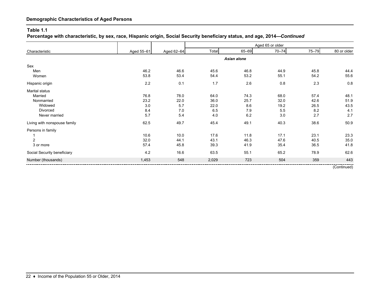#### **Table 1.1**

**Percentage with characteristic, by sex, race, Hispanic origin, Social Security beneficiary status, and age, 2014—***Continued*

|                              |            |            |       |             | Aged 65 or older |           |             |
|------------------------------|------------|------------|-------|-------------|------------------|-----------|-------------|
| Characteristic               | Aged 55-61 | Aged 62-64 | Total | 65-69       | $70 - 74$        | $75 - 79$ | 80 or older |
|                              |            |            |       | Asian alone |                  |           |             |
| Sex                          |            |            |       |             |                  |           |             |
| Men                          | 46.2       | 46.6       | 45.6  | 46.8        | 44.9             | 45.8      | 44.4        |
| Women                        | 53.8       | 53.4       | 54.4  | 53.2        | 55.1             | 54.2      | 55.6        |
| Hispanic origin              | 2.2        | 0.1        | 1.7   | 2.6         | 0.8              | 2.3       | 0.8         |
| Marital status               |            |            |       |             |                  |           |             |
| Married                      | 76.8       | 78.0       | 64.0  | 74.3        | 68.0             | 57.4      | 48.1        |
| Nonmarried                   | 23.2       | 22.0       | 36.0  | 25.7        | 32.0             | 42.6      | 51.9        |
| Widowed                      | 3.0        | 5.7        | 22.0  | 8.6         | 19.2             | 26.5      | 43.5        |
| Divorced                     | 8.4        | 7.0        | 6.5   | 7.9         | 5.5              | 8.2       | 4.1         |
| Never married                | 5.7        | 5.4        | 4.0   | 6.2         | 3.0              | 2.7       | 2.7         |
| Living with nonspouse family | 62.5       | 49.7       | 45.4  | 49.1        | 40.3             | 38.6      | 50.9        |
| Persons in family            |            |            |       |             |                  |           |             |
|                              | 10.6       | 10.0       | 17.6  | 11.8        | 17.1             | 23.1      | 23.3        |
| $\overline{2}$               | 32.0       | 44.1       | 43.1  | 46.3        | 47.6             | 40.5      | 35.0        |
| 3 or more                    | 57.4       | 45.8       | 39.3  | 41.9        | 35.4             | 36.5      | 41.8        |
| Social Security beneficiary  | 4.2        | 16.6       | 63.5  | 55.1        | 65.2             | 78.9      | 62.6        |
| Number (thousands)           | 1,453      | 548        | 2,029 | 723         | 504              | 359       | 443         |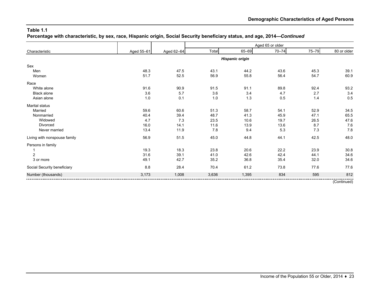**Percentage with characteristic, by sex, race, Hispanic origin, Social Security beneficiary status, and age, 2014—***Continued*

|                              |            |            |       |                        | Aged 65 or older |       |             |
|------------------------------|------------|------------|-------|------------------------|------------------|-------|-------------|
| Characteristic               | Aged 55-61 | Aged 62-64 | Total | 65-69                  | $70 - 74$        | 75-79 | 80 or older |
|                              |            |            |       | <b>Hispanic origin</b> |                  |       |             |
| Sex                          |            |            |       |                        |                  |       |             |
| Men                          | 48.3       | 47.5       | 43.1  | 44.2                   | 43.6             | 45.3  | 39.1        |
| Women                        | 51.7       | 52.5       | 56.9  | 55.8                   | 56.4             | 54.7  | 60.9        |
| Race                         |            |            |       |                        |                  |       |             |
| White alone                  | 91.6       | 90.9       | 91.5  | 91.1                   | 89.8             | 92.4  | 93.2        |
| <b>Black alone</b>           | 3.6        | 5.7        | 3.6   | 3.4                    | 4.7              | 2.7   | 3.4         |
| Asian alone                  | 1.0        | 0.1        | 1.0   | 1.3                    | 0.5              | 1.4   | 0.5         |
| Marital status               |            |            |       |                        |                  |       |             |
| Married                      | 59.6       | 60.6       | 51.3  | 58.7                   | 54.1             | 52.9  | 34.5        |
| Nonmarried                   | 40.4       | 39.4       | 48.7  | 41.3                   | 45.9             | 47.1  | 65.5        |
| Widowed                      | 4.7        | 7.3        | 23.5  | 10.6                   | 19.7             | 26.5  | 47.6        |
| Divorced                     | 16.0       | 14.1       | 11.6  | 13.9                   | 13.6             | 8.7   | 7.6         |
| Never married                | 13.4       | 11.9       | 7.8   | 9.4                    | 5.3              | 7.3   | 7.8         |
| Living with nonspouse family | 56.9       | 51.5       | 45.0  | 44.8                   | 44.1             | 42.5  | 48.0        |
| Persons in family            |            |            |       |                        |                  |       |             |
|                              | 19.3       | 18.3       | 23.8  | 20.6                   | 22.2             | 23.9  | 30.8        |
| $\overline{2}$               | 31.6       | 39.1       | 41.0  | 42.6                   | 42.4             | 44.1  | 34.6        |
| 3 or more                    | 49.1       | 42.7       | 35.2  | 36.8                   | 35.4             | 32.0  | 34.6        |
| Social Security beneficiary  | 8.8        | 28.4       | 70.4  | 61.2                   | 73.8             | 77.6  | 77.6        |
| Number (thousands)           | 3,173      | 1,008      | 3,636 | 1,395                  | 834              | 595   | 812         |
|                              |            |            |       |                        |                  |       | (Continued) |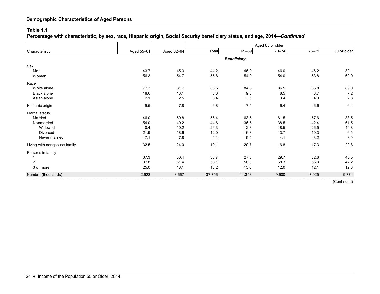#### **Table 1.1**

**Percentage with characteristic, by sex, race, Hispanic origin, Social Security beneficiary status, and age, 2014—***Continued*

|                              |            |            |        |                    | Aged 65 or older |       |             |
|------------------------------|------------|------------|--------|--------------------|------------------|-------|-------------|
| Characteristic               | Aged 55-61 | Aged 62-64 | Total  | 65-69              | $70 - 74$        | 75-79 | 80 or older |
|                              |            |            |        | <b>Beneficiary</b> |                  |       |             |
| Sex                          |            |            |        |                    |                  |       |             |
| Men                          | 43.7       | 45.3       | 44.2   | 46.0               | 46.0             | 46.2  | 39.1        |
| Women                        | 56.3       | 54.7       | 55.8   | 54.0               | 54.0             | 53.8  | 60.9        |
| Race                         |            |            |        |                    |                  |       |             |
| White alone                  | 77.3       | 81.7       | 86.5   | 84.6               | 86.5             | 85.8  | 89.0        |
| <b>Black alone</b>           | 18.0       | 13.1       | 8.6    | 9.8                | 8.5              | 8.7   | 7.2         |
| Asian alone                  | 2.1        | 2.5        | 3.4    | 3.5                | 3.4              | 4.0   | 2.8         |
| Hispanic origin              | 9.5        | 7.8        | 6.8    | 7.5                | 6.4              | 6.6   | 6.4         |
| Marital status               |            |            |        |                    |                  |       |             |
| Married                      | 46.0       | 59.8       | 55.4   | 63.5               | 61.5             | 57.6  | 38.5        |
| Nonmarried                   | 54.0       | 40.2       | 44.6   | 36.5               | 38.5             | 42.4  | 61.5        |
| Widowed                      | 10.4       | 10.2       | 26.3   | 12.3               | 18.5             | 26.5  | 49.8        |
| Divorced                     | 21.9       | 18.6       | 12.0   | 16.3               | 13.7             | 10.3  | 6.5         |
| Never married                | 17.1       | 7.8        | 4.1    | 5.5                | 4.1              | 3.2   | 3.0         |
| Living with nonspouse family | 32.5       | 24.0       | 19.1   | 20.7               | 16.8             | 17.3  | 20.8        |
| Persons in family            |            |            |        |                    |                  |       |             |
|                              | 37.3       | 30.4       | 33.7   | 27.8               | 29.7             | 32.6  | 45.5        |
| $\overline{c}$               | 37.8       | 51.4       | 53.1   | 56.6               | 58.3             | 55.3  | 42.2        |
| 3 or more                    | 25.0       | 18.1       | 13.2   | 15.6               | 12.0             | 12.1  | 12.3        |
| Number (thousands)           | 2,923      | 3,667      | 37,756 | 11,358             | 9,600            | 7,025 | 9,774       |
|                              |            |            |        |                    |                  |       | (Continued) |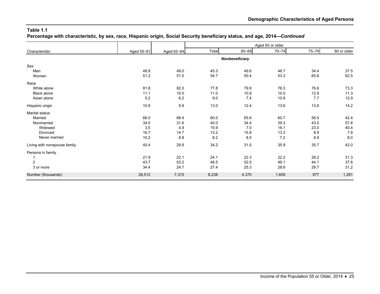**Percentage with characteristic, by sex, race, Hispanic origin, Social Security beneficiary status, and age, 2014—***Continued*

|                              |            |            |       |                | Aged 65 or older |           |             |
|------------------------------|------------|------------|-------|----------------|------------------|-----------|-------------|
| Characteristic               | Aged 55-61 | Aged 62-64 | Total | 65-69          | $70 - 74$        | $75 - 79$ | 80 or older |
|                              |            |            |       | Nonbeneficiary |                  |           |             |
| Sex                          |            |            |       |                |                  |           |             |
| Men                          | 48.8       | 49.0       | 45.3  | 49.6           | 46.7             | 34.4      | 37.5        |
| Women                        | 51.2       | 51.0       | 54.7  | 50.4           | 53.3             | 65.6      | 62.5        |
| Race                         |            |            |       |                |                  |           |             |
| White alone                  | 81.6       | 82.0       | 77.8  | 79.9           | 76.3             | 76.6      | 73.3        |
| <b>Black alone</b>           | 11.1       | 10.0       | 11.0  | 10.8           | 10.0             | 12.9      | 11.3        |
| Asian alone                  | 5.2        | 6.2        | 9.0   | 7.4            | 10.9             | 7.7       | 12.9        |
| Hispanic origin              | 10.9       | 9.9        | 13.0  | 12.4           | 13.6             | 13.6      | 14.2        |
| <b>Marital status</b>        |            |            |       |                |                  |           |             |
| Married                      | 66.0       | 68.4       | 60.0  | 65.6           | 60.7             | 56.5      | 42.4        |
| Nonmarried                   | 34.0       | 31.6       | 40.0  | 34.4           | 39.3             | 43.5      | 57.6        |
| Widowed                      | 3.5        | 4.9        | 15.9  | 7.0            | 16.1             | 23.0      | 40.4        |
| Divorced                     | 16.7       | 14.7       | 13.2  | 15.8           | 13.3             | 8.9       | 7.8         |
| Never married                | 10.2       | 8.8        | 8.2   | 8.5            | 7.2              | 8.9       | 8.0         |
| Living with nonspouse family | 40.4       | 29.9       | 34.2  | 31.0           | 35.9             | 35.7      | 42.0        |
| Persons in family            |            |            |       |                |                  |           |             |
|                              | 21.9       | 22.1       | 24.1  | 22.3           | 22.2             | 26.2      | 31.3        |
| $\overline{2}$               | 43.7       | 53.2       | 48.5  | 52.5           | 49.1             | 44.1      | 37.6        |
| 3 or more                    | 34.4       | 24.7       | 27.4  | 25.3           | 28.6             | 29.7      | 31.2        |
| Number (thousands)           | 26,512     | 7,315      | 8,238 | 4,370          | 1,609            | 977       | 1,281       |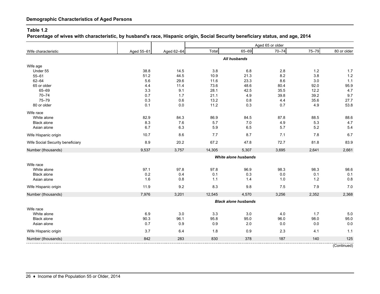#### **Table 1.2**

**Percentage of wives with characteristic, by husband's race, Hispanic origin, Social Security beneficiary status, and age, 2014**

|                                   |             |             |             |                             | Aged 65 or older |             |                 |
|-----------------------------------|-------------|-------------|-------------|-----------------------------|------------------|-------------|-----------------|
| Wife characteristic               | Aged 55-61  | Aged 62-64  | Total       | 65-69                       | $70 - 74$        | 75-79       | 80 or older     |
|                                   |             |             |             | All husbands                |                  |             |                 |
|                                   |             |             |             |                             |                  |             |                 |
| Wife age<br>Under 55              | 38.8        | 14.5        | 3.8         | 6.8                         | 2.8              | $1.2$       | $1.7$           |
| $55 - 61$                         | 51.2        | 44.5        | 10.9        | 21.3                        | 8.2              | 3.8         | $1.2$           |
| $62 - 64$                         | 5.6         | 29.6        | 11.6        | 23.3                        | 8.6              | 3.0         | 1.1             |
| 65 or older                       | 4.4         | 11.4        | 73.6        | 48.6                        | 80.4             | 92.0        | 95.9            |
| 65-69                             | 3.3         | 9.1         | 28.1        | 42.5                        | 35.5             | 12.2        | 4.7             |
| $70 - 74$                         | 0.7         | 1.7         | 21.1        | 4.9                         | 39.8             | 39.2        | 9.7             |
| $75 - 79$                         | 0.3         | 0.6         | 13.2        | 0.8                         | 4.4              | 35.6        | 27.7            |
| 80 or older                       | 0.1         | 0.0         | 11.2        | 0.3                         | 0.7              | 4.9         | 53.8            |
| Wife race                         |             |             |             |                             |                  |             |                 |
| White alone                       | 82.9        | 84.3        | 86.9        | 84.5                        | 87.8             | 88.5        | 88.6            |
| <b>Black alone</b>                | 8.3         | 7.6         | 5.7         | 7.0                         | 4.9              | 5.3         | 4.7             |
| Asian alone                       | 6.7         | 6.3         | 5.9         | 6.5                         | 5.7              | 5.2         | 5.4             |
| Wife Hispanic origin              | 10.7        | 8.6         | 7.7         | 8.7                         | 7.1              | 7.8         | 6.7             |
| Wife Social Security beneficiary  | 8.9         | 20.2        | 67.2        | 47.8                        | 72.7             | 81.8        | 83.9            |
| Number (thousands)                | 9,537       | 3,757       | 14,305      | 5,307                       | 3,695            | 2,641       | 2,661           |
|                                   |             |             |             | White alone husbands        |                  |             |                 |
| Wife race                         |             |             |             |                             |                  |             |                 |
| White alone                       | 97.1        | 97.8        | 97.8        | 96.9                        | 98.3             | 98.3        | 98.6            |
| <b>Black alone</b>                | 0.2         | 0.4         | 0.1         | 0.3                         | $0.0\,$          | 0.1         | 0.1             |
| Asian alone                       | 1.6         | 0.8         | 1.1         | 1.4                         | 1.0              | 1.2         | 0.8             |
| Wife Hispanic origin              | 11.9        | 9.2         | 8.3         | 9.8                         | 7.5              | 7.9         | 7.0             |
| Number (thousands)                | 7,976       | 3,201       | 12,545      | 4,570                       | 3,256            | 2,352       | 2,368           |
|                                   |             |             |             | <b>Black alone husbands</b> |                  |             |                 |
|                                   |             |             |             |                             |                  |             |                 |
| Wife race                         |             |             |             |                             |                  |             |                 |
| White alone<br><b>Black alone</b> | 6.9<br>90.3 | 3.0         | 3.3         | 3.0                         | 4.0              | 1.7<br>98.0 | 5.0             |
| Asian alone                       | 0.7         | 96.1<br>0.9 | 95.8<br>0.9 | 95.0<br>2.0                 | 96.0<br>0.0      | 0.0         | 95.0<br>$0.0\,$ |
|                                   |             |             |             |                             |                  |             |                 |
| Wife Hispanic origin              | 3.7         | 6.4         | 1.8         | 0.9                         | 2.3              | 4.1         | 1.1             |
| Number (thousands)                | 842         | 283         | 830         | 378                         | 187              | 140         | 125             |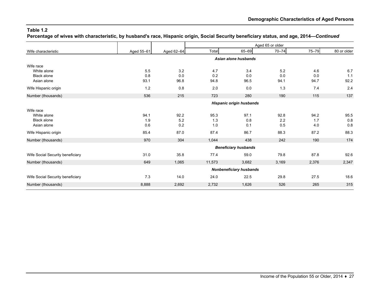**Percentage of wives with characteristic, by husband's race, Hispanic origin, Social Security beneficiary status, and age, 2014—***Continued*

|                                   |                                |                                 |            |                             | Aged 65 or older |            |             |  |
|-----------------------------------|--------------------------------|---------------------------------|------------|-----------------------------|------------------|------------|-------------|--|
| Wife characteristic               | Aged 55-61                     | Aged 62-64                      | Total      | 65-69                       | $70 - 74$        | $75 - 79$  | 80 or older |  |
|                                   |                                |                                 |            | Asian alone husbands        |                  |            |             |  |
| Wife race                         |                                |                                 |            |                             |                  |            |             |  |
| White alone<br><b>Black alone</b> | 5.5<br>0.8                     | 3.2<br>0.0                      | 4.7<br>0.2 | 3.4<br>0.0                  | 5.2<br>0.0       | 4.6<br>0.0 | 6.7<br>1.1  |  |
| Asian alone                       | 93.1                           | 96.8                            | 94.8       | 96.5                        | 94.1             | 94.7       | 92.2        |  |
| Wife Hispanic origin              | 1.2                            | 0.8                             | 2.0        | 0.0                         | 1.3              | 7.4        | 2.4         |  |
| Number (thousands)                | 536                            | 215                             | 723        | 280                         | 190              | 115        | 137         |  |
|                                   |                                | <b>Hispanic origin husbands</b> |            |                             |                  |            |             |  |
| Wife race                         |                                |                                 |            |                             |                  |            |             |  |
| White alone                       | 94.1                           | 92.2                            | 95.3       | 97.1                        | 92.8             | 94.2       | 95.5        |  |
| <b>Black alone</b>                | 1.9                            | 5.2                             | 1.3        | 0.8                         | 2.2              | 1.7        | 0.8         |  |
| Asian alone                       | 0.6                            | 0.2                             | 1.0        | 0.1                         | 0.5              | 4.0        | 0.8         |  |
| Wife Hispanic origin              | 85.4                           | 87.0                            | 87.4       | 86.7                        | 88.3             | 87.2       | 88.3        |  |
| Number (thousands)                | 970                            | 304                             | 1,044      | 438                         | 242              | 190        | 174         |  |
|                                   |                                |                                 |            | <b>Beneficiary husbands</b> |                  |            |             |  |
| Wife Social Security beneficiary  | 31.0                           | 35.8                            | 77.4       | 59.0                        | 79.8             | 87.8       | 92.6        |  |
| Number (thousands)                | 649                            | 1,065                           | 11,573     | 3,682                       | 3,169            | 2,376      | 2,347       |  |
|                                   | <b>Nonbeneficiary husbands</b> |                                 |            |                             |                  |            |             |  |
| Wife Social Security beneficiary  | 7.3                            | 14.0                            | 24.0       | 22.5                        | 29.8             | 27.5       | 18.6        |  |
| Number (thousands)                | 8,888                          | 2,692                           | 2,732      | 1,626                       | 526              | 265        | 315         |  |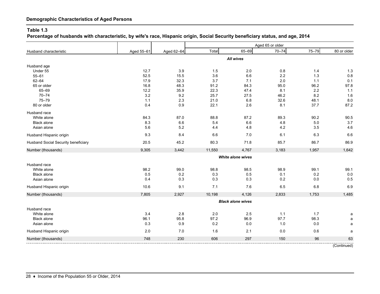**Percentage of husbands with characteristic, by wife's race, Hispanic origin, Social Security beneficiary status, and age, 2014**

|                                     |            |            |        |                          | Aged 65 or older |       |             |
|-------------------------------------|------------|------------|--------|--------------------------|------------------|-------|-------------|
| Husband characteristic              | Aged 55-61 | Aged 62-64 | Total  | 65-69                    | $70 - 74$        | 75-79 | 80 or older |
|                                     |            |            |        | <b>All wives</b>         |                  |       |             |
|                                     |            |            |        |                          |                  |       |             |
| Husband age<br>Under 55             | 12.7       | 3.9        | 1.5    | 2.0                      | 0.8              | 1.4   | 1.3         |
| $55 - 61$                           | 52.5       | 15.5       | 3.6    | 6.6                      | 2.2              | 1.3   | 0.8         |
| $62 - 64$                           | 17.9       | 32.3       | 3.7    | 7.1                      | 2.0              | 1.1   | 0.1         |
| 65 or older                         | 16.8       | 48.3       | 91.2   | 84.3                     | 95.0             | 96.2  | 97.8        |
| 65-69                               | 12.2       | 35.9       | 22.3   | 47.4                     | 8.1              | 2.2   | 1.1         |
| $70 - 74$                           | 3.2        | 9.2        | 25.7   | 27.5                     | 46.2             | 8.2   | 1.6         |
| $75 - 79$                           | 1.1        | 2.3        | 21.0   | 6.8                      | 32.6             | 48.1  | 8.0         |
| 80 or older                         | 0.4        | 0.9        | 22.1   | 2.6                      | 8.1              | 37.7  | 87.2        |
| Husband race                        |            |            |        |                          |                  |       |             |
| White alone                         | 84.3       | 87.0       | 88.8   | 87.2                     | 89.3             | 90.2  | 90.5        |
| <b>Black alone</b>                  | 8.3        | 6.6        | 5.4    | 6.6                      | 4.8              | 5.0   | 3.7         |
| Asian alone                         | 5.6        | 5.2        | 4.4    | 4.8                      | 4.2              | 3.5   | 4.6         |
| Husband Hispanic origin             | 9.3        | 8.4        | 6.6    | 7.0                      | 6.1              | 6.3   | 6.6         |
| Husband Social Security beneficiary | 20.5       | 45.2       | 80.3   | 71.8                     | 85.7             | 86.7  | 86.9        |
| Number (thousands)                  | 9,305      | 3,442      | 11,550 | 4,767                    | 3,183            | 1,957 | 1,642       |
|                                     |            |            |        | <b>White alone wives</b> |                  |       |             |
|                                     |            |            |        |                          |                  |       |             |
| Husband race<br>White alone         | 98.2       | 99.0       | 98.8   | 98.5                     | 98.9             | 99.1  | 99.1        |
| <b>Black alone</b>                  | 0.5        | $0.2\,$    | 0.3    | 0.5                      | 0.1              | 0.2   | 0.0         |
| Asian alone                         | 0.4        | 0.3        | 0.3    | 0.3                      | 0.2              | 0.0   | 0.5         |
|                                     |            |            |        |                          |                  |       |             |
| Husband Hispanic origin             | 10.6       | 9.1        | 7.1    | 7.6                      | 6.5              | 6.8   | 6.9         |
| Number (thousands)                  | 7,805      | 2,927      | 10,198 | 4,126                    | 2,833            | 1,753 | 1,485       |
|                                     |            |            |        | <b>Black alone wives</b> |                  |       |             |
| Husband race                        |            |            |        |                          |                  |       |             |
| White alone                         | 3.4        | 2.8        | 2.0    | 2.5                      | 1.1              | 1.7   | a           |
| <b>Black alone</b>                  | 96.1       | 95.8       | 97.2   | 96.9                     | 97.7             | 98.3  | a           |
| Asian alone                         | 0.3        | 0.9        | 0.2    | 0.0                      | 1.0              | 0.0   | a           |
| Husband Hispanic origin             | 2.0        | 7.0        | 1.6    | 2.1                      | 0.0              | 0.6   | a           |
| Number (thousands)                  | 748        | 230        | 606    | 297                      | 150              | 96    | 63          |
|                                     |            |            |        |                          |                  |       |             |